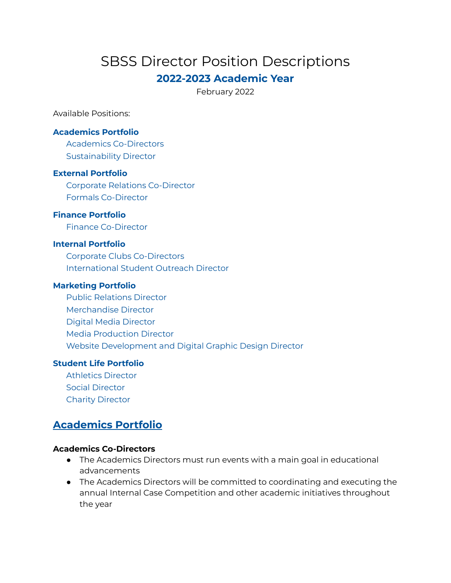# SBSS Director Position Descriptions

## **2022-2023 Academic Year**

February 2022

Available Positions:

#### **[Academics](#page-0-0) Portfolio**

Academics [Co-Directors](#page-0-1) Sustainability Director

#### **External [Portfolio](#page-1-0)**

Corporate Relations [Co-Director](#page-1-1) Formals [Co-Director](#page-1-2)

### **Finance [Portfolio](#page-2-0)**

Finance [Co-Director](#page-2-1)

#### **Internal [Portfolio](#page-2-2)**

Corporate Clubs [Co-Directors](#page-2-3) [International](#page-3-0) Student Outreach Director

#### **[Marketing](#page-3-1) Portfolio**

Public [Relations](#page-3-2) Director [Merchandise](#page-3-3) Director Digital Media [Director](#page-4-0) Media [Production](#page-4-1) Director Website [Development](#page-4-2) and Digital Graphic Design Director

### **Student Life [Portfolio](#page-5-0)**

[Athletics](#page-5-1) Director Social [Director](#page-5-2) Charity [Director](#page-6-0)

## <span id="page-0-0"></span>**Academics Portfolio**

#### <span id="page-0-1"></span>**Academics Co-Directors**

- The Academics Directors must run events with a main goal in educational advancements
- The Academics Directors will be committed to coordinating and executing the annual Internal Case Competition and other academic initiatives throughout the year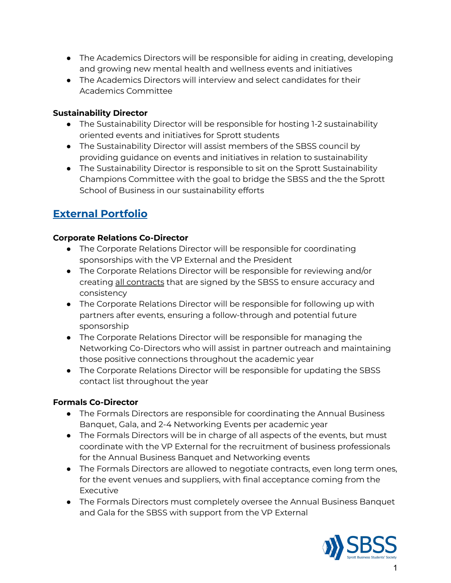- The Academics Directors will be responsible for aiding in creating, developing and growing new mental health and wellness events and initiatives
- The Academics Directors will interview and select candidates for their Academics Committee

### **Sustainability Director**

- The Sustainability Director will be responsible for hosting 1-2 sustainability oriented events and initiatives for Sprott students
- The Sustainability Director will assist members of the SBSS council by providing guidance on events and initiatives in relation to sustainability
- The Sustainability Director is responsible to sit on the Sprott Sustainability Champions Committee with the goal to bridge the SBSS and the the Sprott School of Business in our sustainability efforts

## <span id="page-1-0"></span>**External Portfolio**

### <span id="page-1-1"></span>**Corporate Relations Co-Director**

- The Corporate Relations Director will be responsible for coordinating sponsorships with the VP External and the President
- The Corporate Relations Director will be responsible for reviewing and/or creating all contracts that are signed by the SBSS to ensure accuracy and consistency
- The Corporate Relations Director will be responsible for following up with partners after events, ensuring a follow-through and potential future sponsorship
- The Corporate Relations Director will be responsible for managing the Networking Co-Directors who will assist in partner outreach and maintaining those positive connections throughout the academic year
- The Corporate Relations Director will be responsible for updating the SBSS contact list throughout the year

### <span id="page-1-2"></span>**Formals Co-Director**

- The Formals Directors are responsible for coordinating the Annual Business Banquet, Gala, and 2-4 Networking Events per academic year
- The Formals Directors will be in charge of all aspects of the events, but must coordinate with the VP External for the recruitment of business professionals for the Annual Business Banquet and Networking events
- The Formals Directors are allowed to negotiate contracts, even long term ones, for the event venues and suppliers, with final acceptance coming from the Executive
- The Formals Directors must completely oversee the Annual Business Banquet and Gala for the SBSS with support from the VP External

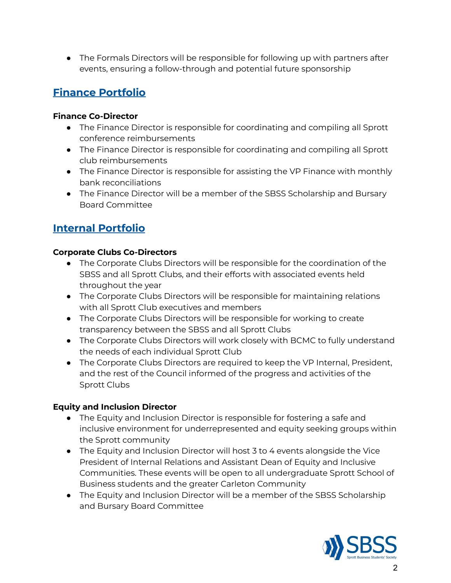● The Formals Directors will be responsible for following up with partners after events, ensuring a follow-through and potential future sponsorship

## <span id="page-2-0"></span>**Finance Portfolio**

### <span id="page-2-1"></span>**Finance Co-Director**

- The Finance Director is responsible for coordinating and compiling all Sprott conference reimbursements
- The Finance Director is responsible for coordinating and compiling all Sprott club reimbursements
- The Finance Director is responsible for assisting the VP Finance with monthly bank reconciliations
- The Finance Director will be a member of the SBSS Scholarship and Bursary Board Committee

## <span id="page-2-2"></span>**Internal Portfolio**

### <span id="page-2-3"></span>**Corporate Clubs Co-Directors**

- The Corporate Clubs Directors will be responsible for the coordination of the SBSS and all Sprott Clubs, and their efforts with associated events held throughout the year
- The Corporate Clubs Directors will be responsible for maintaining relations with all Sprott Club executives and members
- The Corporate Clubs Directors will be responsible for working to create transparency between the SBSS and all Sprott Clubs
- The Corporate Clubs Directors will work closely with BCMC to fully understand the needs of each individual Sprott Club
- The Corporate Clubs Directors are required to keep the VP Internal, President, and the rest of the Council informed of the progress and activities of the Sprott Clubs

### **Equity and Inclusion Director**

- The Equity and Inclusion Director is responsible for fostering a safe and inclusive environment for underrepresented and equity seeking groups within the Sprott community
- The Equity and Inclusion Director will host 3 to 4 events alongside the Vice President of Internal Relations and Assistant Dean of Equity and Inclusive Communities. These events will be open to all undergraduate Sprott School of Business students and the greater Carleton Community
- The Equity and Inclusion Director will be a member of the SBSS Scholarship and Bursary Board Committee

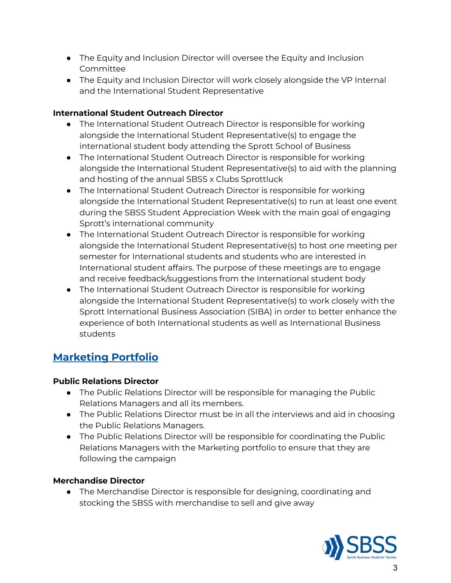- The Equity and Inclusion Director will oversee the Equity and Inclusion Committee
- The Equity and Inclusion Director will work closely alongside the VP Internal and the International Student Representative

### <span id="page-3-0"></span>**International Student Outreach Director**

- The International Student Outreach Director is responsible for working alongside the International Student Representative(s) to engage the international student body attending the Sprott School of Business
- The International Student Outreach Director is responsible for working alongside the International Student Representative(s) to aid with the planning and hosting of the annual SBSS x Clubs Sprottluck
- The International Student Outreach Director is responsible for working alongside the International Student Representative(s) to run at least one event during the SBSS Student Appreciation Week with the main goal of engaging Sprott's international community
- The International Student Outreach Director is responsible for working alongside the International Student Representative(s) to host one meeting per semester for International students and students who are interested in International student affairs. The purpose of these meetings are to engage and receive feedback/suggestions from the International student body
- The International Student Outreach Director is responsible for working alongside the International Student Representative(s) to work closely with the Sprott International Business Association (SIBA) in order to better enhance the experience of both International students as well as International Business students

## <span id="page-3-1"></span>**Marketing Portfolio**

### <span id="page-3-2"></span>**Public Relations Director**

- The Public Relations Director will be responsible for managing the Public Relations Managers and all its members.
- The Public Relations Director must be in all the interviews and aid in choosing the Public Relations Managers.
- The Public Relations Director will be responsible for coordinating the Public Relations Managers with the Marketing portfolio to ensure that they are following the campaign

### <span id="page-3-3"></span>**Merchandise Director**

● The Merchandise Director is responsible for designing, coordinating and stocking the SBSS with merchandise to sell and give away

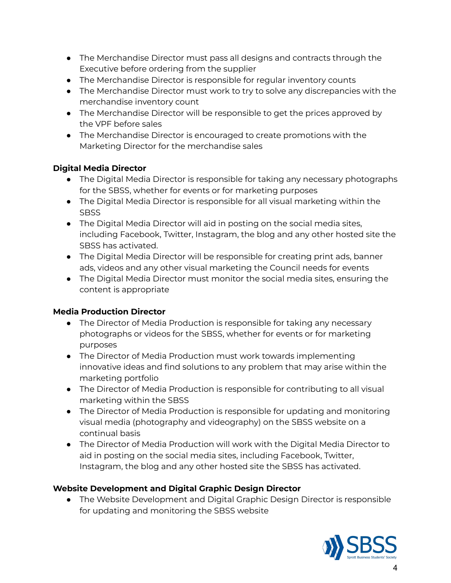- The Merchandise Director must pass all designs and contracts through the Executive before ordering from the supplier
- The Merchandise Director is responsible for regular inventory counts
- The Merchandise Director must work to try to solve any discrepancies with the merchandise inventory count
- The Merchandise Director will be responsible to get the prices approved by the VPF before sales
- The Merchandise Director is encouraged to create promotions with the Marketing Director for the merchandise sales

### <span id="page-4-0"></span>**Digital Media Director**

- The Digital Media Director is responsible for taking any necessary photographs for the SBSS, whether for events or for marketing purposes
- The Digital Media Director is responsible for all visual marketing within the **SBSS**
- The Digital Media Director will aid in posting on the social media sites, including Facebook, Twitter, Instagram, the blog and any other hosted site the SBSS has activated.
- The Digital Media Director will be responsible for creating print ads, banner ads, videos and any other visual marketing the Council needs for events
- The Digital Media Director must monitor the social media sites, ensuring the content is appropriate

### <span id="page-4-1"></span>**Media Production Director**

- The Director of Media Production is responsible for taking any necessary photographs or videos for the SBSS, whether for events or for marketing purposes
- The Director of Media Production must work towards implementing innovative ideas and find solutions to any problem that may arise within the marketing portfolio
- The Director of Media Production is responsible for contributing to all visual marketing within the SBSS
- The Director of Media Production is responsible for updating and monitoring visual media (photography and videography) on the SBSS website on a continual basis
- The Director of Media Production will work with the Digital Media Director to aid in posting on the social media sites, including Facebook, Twitter, Instagram, the blog and any other hosted site the SBSS has activated.

### <span id="page-4-2"></span>**Website Development and Digital Graphic Design Director**

● The Website Development and Digital Graphic Design Director is responsible for updating and monitoring the SBSS website

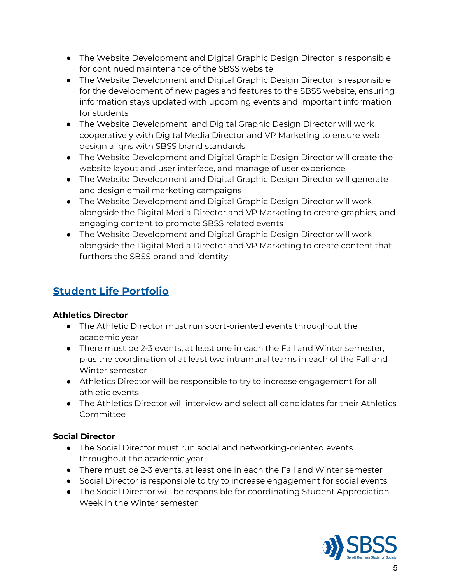- The Website Development and Digital Graphic Design Director is responsible for continued maintenance of the SBSS website
- The Website Development and Digital Graphic Design Director is responsible for the development of new pages and features to the SBSS website, ensuring information stays updated with upcoming events and important information for students
- The Website Development and Digital Graphic Design Director will work cooperatively with Digital Media Director and VP Marketing to ensure web design aligns with SBSS brand standards
- The Website Development and Digital Graphic Design Director will create the website layout and user interface, and manage of user experience
- The Website Development and Digital Graphic Design Director will generate and design email marketing campaigns
- The Website Development and Digital Graphic Design Director will work alongside the Digital Media Director and VP Marketing to create graphics, and engaging content to promote SBSS related events
- The Website Development and Digital Graphic Design Director will work alongside the Digital Media Director and VP Marketing to create content that furthers the SBSS brand and identity

## <span id="page-5-0"></span>**Student Life Portfolio**

### <span id="page-5-1"></span>**Athletics Director**

- The Athletic Director must run sport-oriented events throughout the academic year
- There must be 2-3 events, at least one in each the Fall and Winter semester, plus the coordination of at least two intramural teams in each of the Fall and Winter semester
- Athletics Director will be responsible to try to increase engagement for all athletic events
- The Athletics Director will interview and select all candidates for their Athletics Committee

### <span id="page-5-2"></span>**Social Director**

- The Social Director must run social and networking-oriented events throughout the academic year
- There must be 2-3 events, at least one in each the Fall and Winter semester
- Social Director is responsible to try to increase engagement for social events
- The Social Director will be responsible for coordinating Student Appreciation Week in the Winter semester